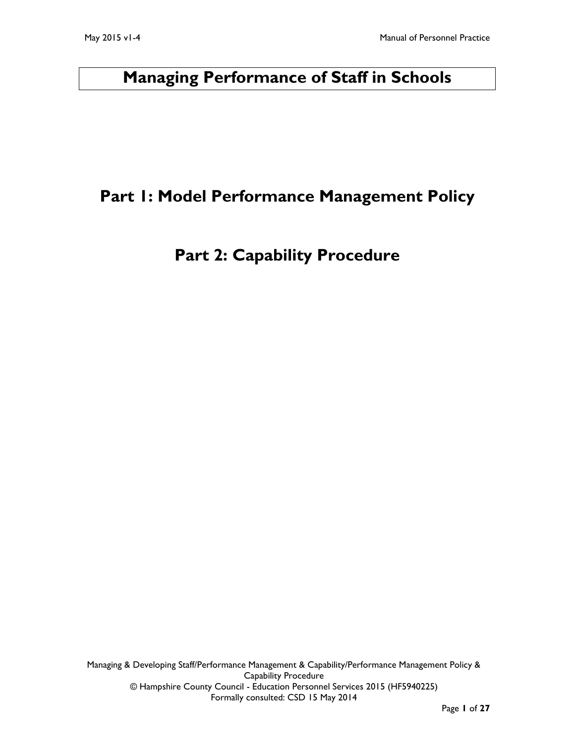# **Managing Performance of Staff in Schools**

# **Part 1: Model Performance Management Policy**

# **Part 2: Capability Procedure**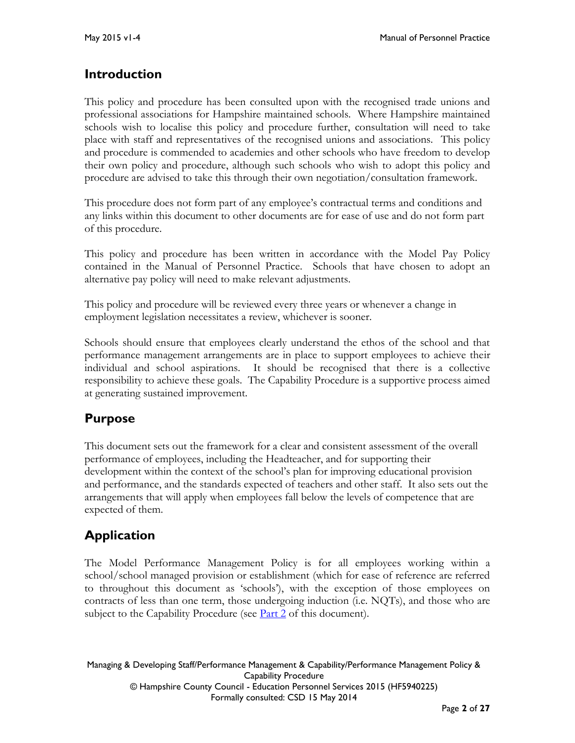# **Introduction**

This policy and procedure has been consulted upon with the recognised trade unions and professional associations for Hampshire maintained schools. Where Hampshire maintained schools wish to localise this policy and procedure further, consultation will need to take place with staff and representatives of the recognised unions and associations. This policy and procedure is commended to academies and other schools who have freedom to develop their own policy and procedure, although such schools who wish to adopt this policy and procedure are advised to take this through their own negotiation/consultation framework.

This procedure does not form part of any employee's contractual terms and conditions and any links within this document to other documents are for ease of use and do not form part of this procedure.

This policy and procedure has been written in accordance with the Model Pay Policy contained in the Manual of Personnel Practice. Schools that have chosen to adopt an alternative pay policy will need to make relevant adjustments.

This policy and procedure will be reviewed every three years or whenever a change in employment legislation necessitates a review, whichever is sooner.

Schools should ensure that employees clearly understand the ethos of the school and that performance management arrangements are in place to support employees to achieve their individual and school aspirations. It should be recognised that there is a collective responsibility to achieve these goals. The Capability Procedure is a supportive process aimed at generating sustained improvement.

# **Purpose**

This document sets out the framework for a clear and consistent assessment of the overall performance of employees, including the Headteacher, and for supporting their development within the context of the school's plan for improving educational provision and performance, and the standards expected of teachers and other staff. It also sets out the arrangements that will apply when employees fall below the levels of competence that are expected of them.

# **Application**

The Model Performance Management Policy is for all employees working within a school/school managed provision or establishment (which for ease of reference are referred to throughout this document as 'schools'), with the exception of those employees on contracts of less than one term, those undergoing induction (i.e. NQTs), and those who are subject to the Capability Procedure (see  $\frac{\text{Part 2}}{\text{2}}$  of this document).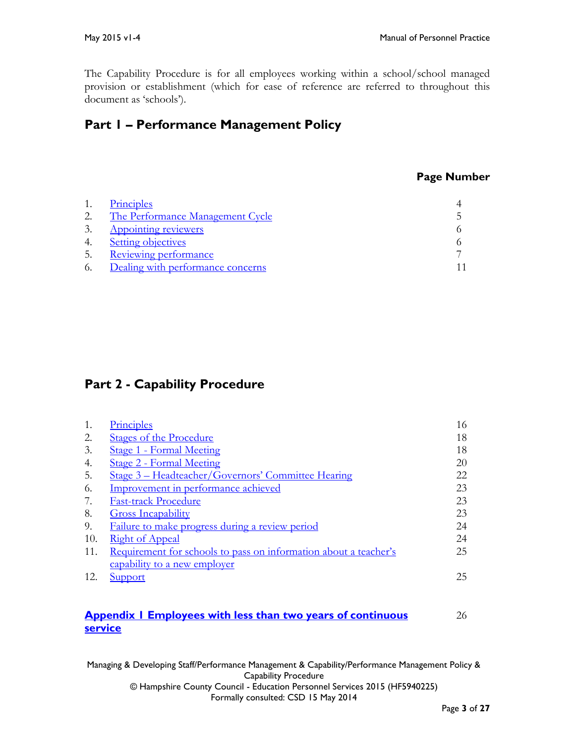The Capability Procedure is for all employees working within a school/school managed provision or establishment (which for ease of reference are referred to throughout this document as 'schools').

# **Part 1 – Performance Management Policy**

### **Page Number**

|    | Principles                        |  |
|----|-----------------------------------|--|
| 2. | The Performance Management Cycle  |  |
| 3. | <b>Appointing reviewers</b>       |  |
| 4. | <b>Setting objectives</b>         |  |
| 5. | Reviewing performance             |  |
| 6. | Dealing with performance concerns |  |

# **Part 2 - Capability Procedure**

| Principles                                                       | 16 |
|------------------------------------------------------------------|----|
| <b>Stages of the Procedure</b>                                   | 18 |
| <b>Stage 1 - Formal Meeting</b>                                  | 18 |
| <b>Stage 2 - Formal Meeting</b>                                  | 20 |
| Stage 3 – Headteacher/Governors' Committee Hearing               | 22 |
| Improvement in performance achieved                              | 23 |
| <b>Fast-track Procedure</b>                                      | 23 |
| <b>Gross Incapability</b>                                        | 23 |
| Failure to make progress during a review period                  | 24 |
| <b>Right of Appeal</b>                                           | 24 |
| Requirement for schools to pass on information about a teacher's | 25 |
| capability to a new employer                                     |    |
| Support                                                          | 25 |
|                                                                  |    |

## **[Appendix 1 Employees with less than two years of](#page-25-0) continuous** 26 **[service](#page-25-0)**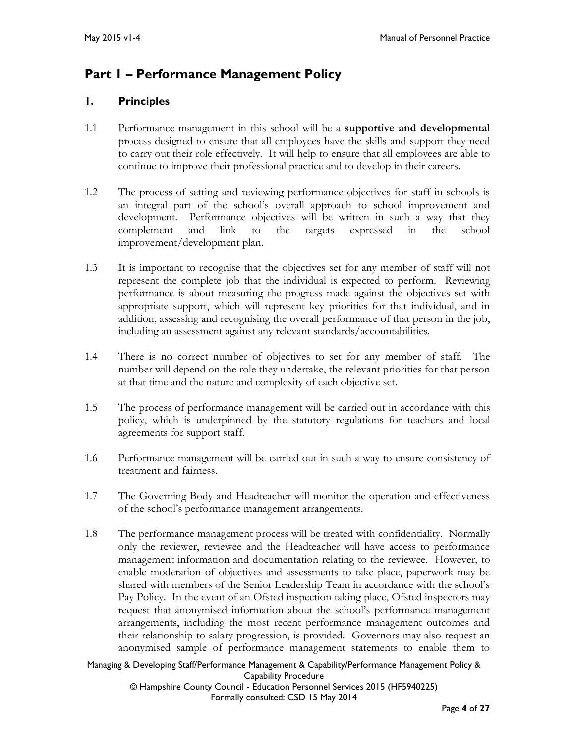# **Part 1 – Performance Management Policy**

# <span id="page-3-0"></span>**1. Principles**

- 1.1 Performance management in this school will be a **supportive and developmental** process designed to ensure that all employees have the skills and support they need to carry out their role effectively. It will help to ensure that all employees are able to continue to improve their professional practice and to develop in their careers.
- 1.2 The process of setting and reviewing performance objectives for staff in schools is an integral part of the school's overall approach to school improvement and development. Performance objectives will be written in such a way that they complement and link to the targets expressed in the school improvement/development plan.
- 1.3 It is important to recognise that the objectives set for any member of staff will not represent the complete job that the individual is expected to perform. Reviewing performance is about measuring the progress made against the objectives set with appropriate support, which will represent key priorities for that individual, and in addition, assessing and recognising the overall performance of that person in the job, including an assessment against any relevant standards/accountabilities.
- 1.4 There is no correct number of objectives to set for any member of staff. The number will depend on the role they undertake, the relevant priorities for that person at that time and the nature and complexity of each objective set.
- 1.5 The process of performance management will be carried out in accordance with this policy, which is underpinned by the statutory regulations for teachers and local agreements for support staff.
- 1.6 Performance management will be carried out in such a way to ensure consistency of treatment and fairness.
- 1.7 The Governing Body and Headteacher will monitor the operation and effectiveness of the school's performance management arrangements.
- 1.8 The performance management process will be treated with confidentiality. Normally only the reviewer, reviewee and the Headteacher will have access to performance management information and documentation relating to the reviewee. However, to enable moderation of objectives and assessments to take place, paperwork may be shared with members of the Senior Leadership Team in accordance with the school's Pay Policy. In the event of an Ofsted inspection taking place, Ofsted inspectors may request that anonymised information about the school's performance management arrangements, including the most recent performance management outcomes and their relationship to salary progression, is provided. Governors may also request an anonymised sample of performance management statements to enable them to

Managing & Developing Staff/Performance Management & Capability/Performance Management Policy & Capability Procedure

© Hampshire County Council - Education Personnel Services 2015 (HF5940225) Formally consulted: CSD 15 May 2014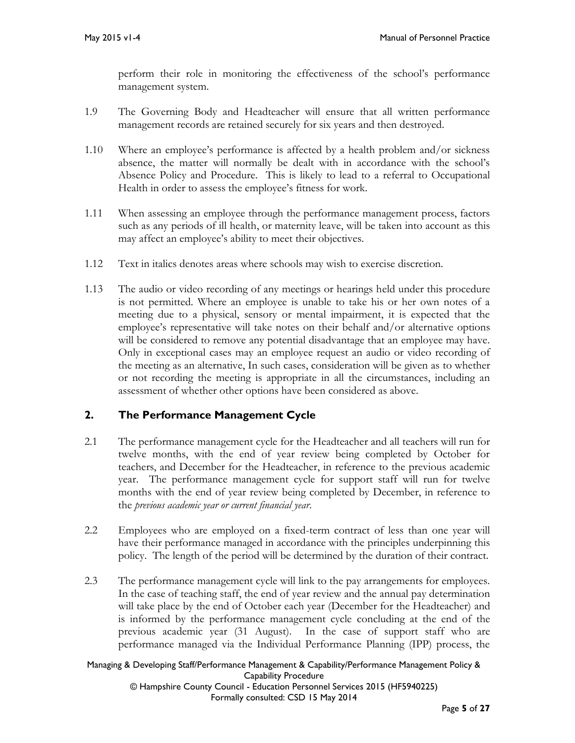perform their role in monitoring the effectiveness of the school's performance management system.

- 1.9 The Governing Body and Headteacher will ensure that all written performance management records are retained securely for six years and then destroyed.
- 1.10 Where an employee's performance is affected by a health problem and/or sickness absence, the matter will normally be dealt with in accordance with the school's Absence Policy and Procedure. This is likely to lead to a referral to Occupational Health in order to assess the employee's fitness for work.
- 1.11 When assessing an employee through the performance management process, factors such as any periods of ill health, or maternity leave, will be taken into account as this may affect an employee's ability to meet their objectives.
- 1.12 Text in italics denotes areas where schools may wish to exercise discretion.
- 1.13 The audio or video recording of any meetings or hearings held under this procedure is not permitted. Where an employee is unable to take his or her own notes of a meeting due to a physical, sensory or mental impairment, it is expected that the employee's representative will take notes on their behalf and/or alternative options will be considered to remove any potential disadvantage that an employee may have. Only in exceptional cases may an employee request an audio or video recording of the meeting as an alternative, In such cases, consideration will be given as to whether or not recording the meeting is appropriate in all the circumstances, including an assessment of whether other options have been considered as above.

## <span id="page-4-0"></span>**2. The Performance Management Cycle**

- 2.1 The performance management cycle for the Headteacher and all teachers will run for twelve months, with the end of year review being completed by October for teachers, and December for the Headteacher, in reference to the previous academic year. The performance management cycle for support staff will run for twelve months with the end of year review being completed by December, in reference to the *previous academic year or current financial year*.
- 2.2 Employees who are employed on a fixed-term contract of less than one year will have their performance managed in accordance with the principles underpinning this policy. The length of the period will be determined by the duration of their contract.
- 2.3 The performance management cycle will link to the pay arrangements for employees. In the case of teaching staff, the end of year review and the annual pay determination will take place by the end of October each year (December for the Headteacher) and is informed by the performance management cycle concluding at the end of the previous academic year (31 August). In the case of support staff who are performance managed via the Individual Performance Planning (IPP) process, the

#### Managing & Developing Staff/Performance Management & Capability/Performance Management Policy & Capability Procedure © Hampshire County Council - Education Personnel Services 2015 (HF5940225)

Formally consulted: CSD 15 May 2014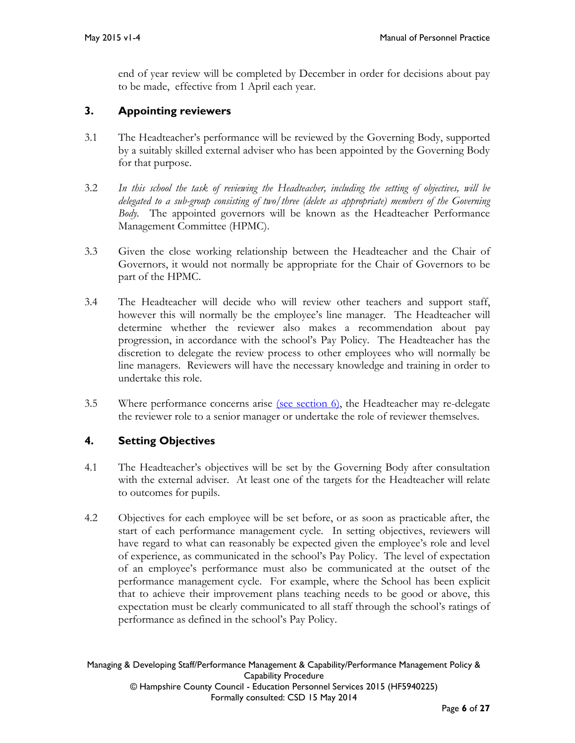end of year review will be completed by December in order for decisions about pay to be made, effective from 1 April each year.

# <span id="page-5-0"></span>**3. Appointing reviewers**

- 3.1 The Headteacher's performance will be reviewed by the Governing Body, supported by a suitably skilled external adviser who has been appointed by the Governing Body for that purpose.
- 3.2 *In this school the task of reviewing the Headteacher, including the setting of objectives, will be delegated to a sub-group consisting of two/three (delete as appropriate) members of the Governing Body.* The appointed governors will be known as the Headteacher Performance Management Committee (HPMC).
- 3.3 Given the close working relationship between the Headteacher and the Chair of Governors, it would not normally be appropriate for the Chair of Governors to be part of the HPMC.
- 3.4 The Headteacher will decide who will review other teachers and support staff, however this will normally be the employee's line manager. The Headteacher will determine whether the reviewer also makes a recommendation about pay progression, in accordance with the school's Pay Policy. The Headteacher has the discretion to delegate the review process to other employees who will normally be line managers. Reviewers will have the necessary knowledge and training in order to undertake this role.
- 3.5 Where performance concerns arise [\(see section 6\),](#page-10-0) the Headteacher may re-delegate the reviewer role to a senior manager or undertake the role of reviewer themselves.

# <span id="page-5-1"></span>**4. Setting Objectives**

- 4.1 The Headteacher's objectives will be set by the Governing Body after consultation with the external adviser. At least one of the targets for the Headteacher will relate to outcomes for pupils.
- 4.2 Objectives for each employee will be set before, or as soon as practicable after, the start of each performance management cycle. In setting objectives, reviewers will have regard to what can reasonably be expected given the employee's role and level of experience, as communicated in the school's Pay Policy. The level of expectation of an employee's performance must also be communicated at the outset of the performance management cycle. For example, where the School has been explicit that to achieve their improvement plans teaching needs to be good or above, this expectation must be clearly communicated to all staff through the school's ratings of performance as defined in the school's Pay Policy.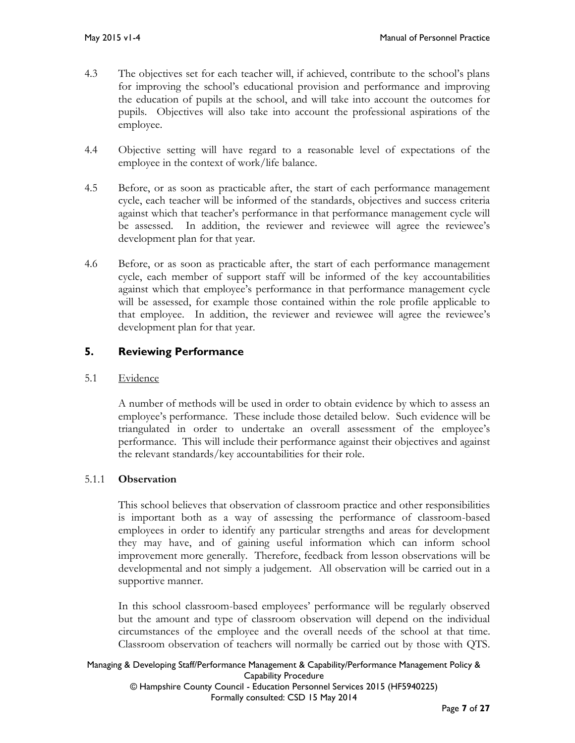- 4.3 The objectives set for each teacher will, if achieved, contribute to the school's plans for improving the school's educational provision and performance and improving the education of pupils at the school, and will take into account the outcomes for pupils. Objectives will also take into account the professional aspirations of the employee.
- 4.4 Objective setting will have regard to a reasonable level of expectations of the employee in the context of work/life balance.
- 4.5 Before, or as soon as practicable after, the start of each performance management cycle, each teacher will be informed of the standards, objectives and success criteria against which that teacher's performance in that performance management cycle will be assessed. In addition, the reviewer and reviewee will agree the reviewee's development plan for that year.
- 4.6 Before, or as soon as practicable after, the start of each performance management cycle, each member of support staff will be informed of the key accountabilities against which that employee's performance in that performance management cycle will be assessed, for example those contained within the role profile applicable to that employee. In addition, the reviewer and reviewee will agree the reviewee's development plan for that year.

# <span id="page-6-0"></span>**5. Reviewing Performance**

## 5.1 Evidence

A number of methods will be used in order to obtain evidence by which to assess an employee's performance. These include those detailed below. Such evidence will be triangulated in order to undertake an overall assessment of the employee's performance. This will include their performance against their objectives and against the relevant standards/key accountabilities for their role.

## 5.1.1 **Observation**

This school believes that observation of classroom practice and other responsibilities is important both as a way of assessing the performance of classroom-based employees in order to identify any particular strengths and areas for development they may have, and of gaining useful information which can inform school improvement more generally. Therefore, feedback from lesson observations will be developmental and not simply a judgement. All observation will be carried out in a supportive manner.

In this school classroom-based employees' performance will be regularly observed but the amount and type of classroom observation will depend on the individual circumstances of the employee and the overall needs of the school at that time. Classroom observation of teachers will normally be carried out by those with QTS.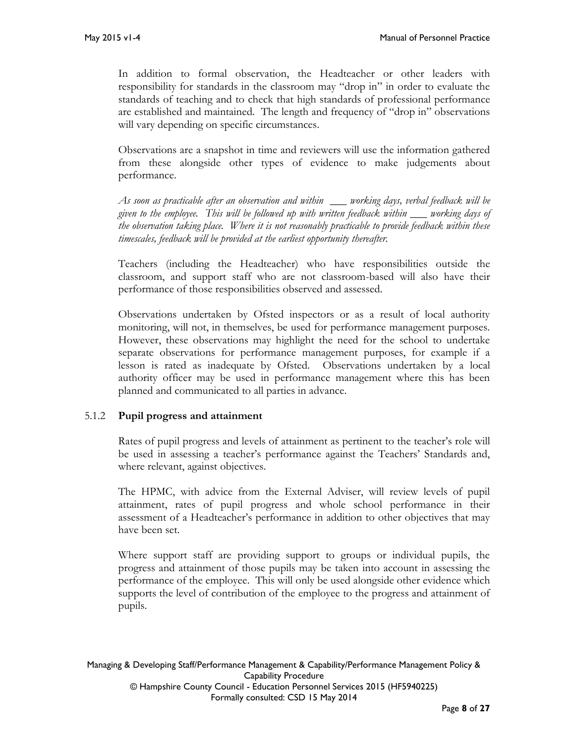In addition to formal observation, the Headteacher or other leaders with responsibility for standards in the classroom may "drop in" in order to evaluate the standards of teaching and to check that high standards of professional performance are established and maintained. The length and frequency of "drop in" observations will vary depending on specific circumstances.

Observations are a snapshot in time and reviewers will use the information gathered from these alongside other types of evidence to make judgements about performance.

*As soon as practicable after an observation and within \_\_\_ working days, verbal feedback will be given to the employee. This will be followed up with written feedback within \_\_\_ working days of the observation taking place. Where it is not reasonably practicable to provide feedback within these timescales, feedback will be provided at the earliest opportunity thereafter.*

Teachers (including the Headteacher) who have responsibilities outside the classroom, and support staff who are not classroom-based will also have their performance of those responsibilities observed and assessed.

Observations undertaken by Ofsted inspectors or as a result of local authority monitoring, will not, in themselves, be used for performance management purposes. However, these observations may highlight the need for the school to undertake separate observations for performance management purposes, for example if a lesson is rated as inadequate by Ofsted. Observations undertaken by a local authority officer may be used in performance management where this has been planned and communicated to all parties in advance.

## 5.1.2 **Pupil progress and attainment**

Rates of pupil progress and levels of attainment as pertinent to the teacher's role will be used in assessing a teacher's performance against the Teachers' Standards and, where relevant, against objectives.

The HPMC, with advice from the External Adviser, will review levels of pupil attainment, rates of pupil progress and whole school performance in their assessment of a Headteacher's performance in addition to other objectives that may have been set.

Where support staff are providing support to groups or individual pupils, the progress and attainment of those pupils may be taken into account in assessing the performance of the employee. This will only be used alongside other evidence which supports the level of contribution of the employee to the progress and attainment of pupils.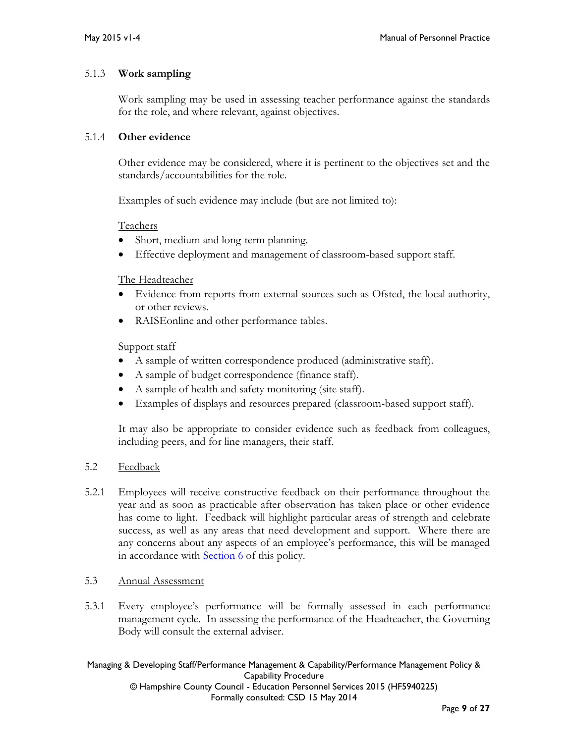### 5.1.3 **Work sampling**

Work sampling may be used in assessing teacher performance against the standards for the role, and where relevant, against objectives.

### 5.1.4 **Other evidence**

Other evidence may be considered, where it is pertinent to the objectives set and the standards/accountabilities for the role.

Examples of such evidence may include (but are not limited to):

### Teachers

- Short, medium and long-term planning.
- Effective deployment and management of classroom-based support staff.

### The Headteacher

- Evidence from reports from external sources such as Ofsted, the local authority, or other reviews.
- RAISEonline and other performance tables.

## Support staff

- A sample of written correspondence produced (administrative staff).
- A sample of budget correspondence (finance staff).
- A sample of health and safety monitoring (site staff).
- Examples of displays and resources prepared (classroom-based support staff).

It may also be appropriate to consider evidence such as feedback from colleagues, including peers, and for line managers, their staff.

## 5.2 Feedback

5.2.1 Employees will receive constructive feedback on their performance throughout the year and as soon as practicable after observation has taken place or other evidence has come to light. Feedback will highlight particular areas of strength and celebrate success, as well as any areas that need development and support. Where there are any concerns about any aspects of an employee's performance, this will be managed in accordance with **Section 6** of this policy.

## 5.3 Annual Assessment

5.3.1 Every employee's performance will be formally assessed in each performance management cycle. In assessing the performance of the Headteacher, the Governing Body will consult the external adviser.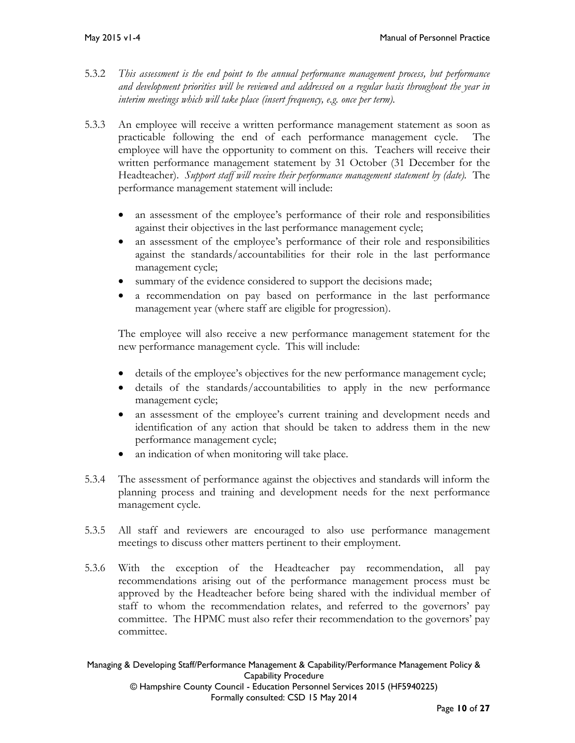- 5.3.2 *This assessment is the end point to the annual performance management process, but performance and development priorities will be reviewed and addressed on a regular basis throughout the year in interim meetings which will take place (insert frequency, e.g. once per term).*
- 5.3.3 An employee will receive a written performance management statement as soon as practicable following the end of each performance management cycle. The employee will have the opportunity to comment on this. Teachers will receive their written performance management statement by 31 October (31 December for the Headteacher). *Support staff will receive their performance management statement by (date).* The performance management statement will include:
	- an assessment of the employee's performance of their role and responsibilities against their objectives in the last performance management cycle;
	- an assessment of the employee's performance of their role and responsibilities against the standards/accountabilities for their role in the last performance management cycle;
	- summary of the evidence considered to support the decisions made;
	- a recommendation on pay based on performance in the last performance management year (where staff are eligible for progression).

The employee will also receive a new performance management statement for the new performance management cycle. This will include:

- details of the employee's objectives for the new performance management cycle;
- details of the standards/accountabilities to apply in the new performance management cycle;
- an assessment of the employee's current training and development needs and identification of any action that should be taken to address them in the new performance management cycle;
- an indication of when monitoring will take place.
- 5.3.4 The assessment of performance against the objectives and standards will inform the planning process and training and development needs for the next performance management cycle.
- 5.3.5 All staff and reviewers are encouraged to also use performance management meetings to discuss other matters pertinent to their employment.
- 5.3.6 With the exception of the Headteacher pay recommendation, all pay recommendations arising out of the performance management process must be approved by the Headteacher before being shared with the individual member of staff to whom the recommendation relates, and referred to the governors' pay committee. The HPMC must also refer their recommendation to the governors' pay committee.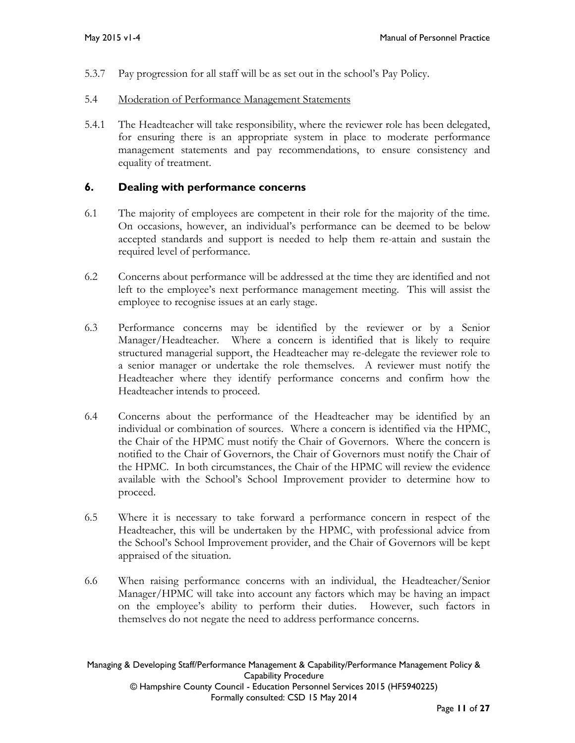- 5.3.7 Pay progression for all staff will be as set out in the school's Pay Policy.
- 5.4 Moderation of Performance Management Statements
- 5.4.1 The Headteacher will take responsibility, where the reviewer role has been delegated, for ensuring there is an appropriate system in place to moderate performance management statements and pay recommendations, to ensure consistency and equality of treatment.

## <span id="page-10-0"></span>**6. Dealing with performance concerns**

- 6.1 The majority of employees are competent in their role for the majority of the time. On occasions, however, an individual's performance can be deemed to be below accepted standards and support is needed to help them re-attain and sustain the required level of performance.
- 6.2 Concerns about performance will be addressed at the time they are identified and not left to the employee's next performance management meeting. This will assist the employee to recognise issues at an early stage.
- 6.3 Performance concerns may be identified by the reviewer or by a Senior Manager/Headteacher. Where a concern is identified that is likely to require structured managerial support, the Headteacher may re-delegate the reviewer role to a senior manager or undertake the role themselves. A reviewer must notify the Headteacher where they identify performance concerns and confirm how the Headteacher intends to proceed.
- 6.4 Concerns about the performance of the Headteacher may be identified by an individual or combination of sources. Where a concern is identified via the HPMC, the Chair of the HPMC must notify the Chair of Governors. Where the concern is notified to the Chair of Governors, the Chair of Governors must notify the Chair of the HPMC. In both circumstances, the Chair of the HPMC will review the evidence available with the School's School Improvement provider to determine how to proceed.
- 6.5 Where it is necessary to take forward a performance concern in respect of the Headteacher, this will be undertaken by the HPMC, with professional advice from the School's School Improvement provider, and the Chair of Governors will be kept appraised of the situation.
- 6.6 When raising performance concerns with an individual, the Headteacher/Senior Manager/HPMC will take into account any factors which may be having an impact on the employee's ability to perform their duties. However, such factors in themselves do not negate the need to address performance concerns.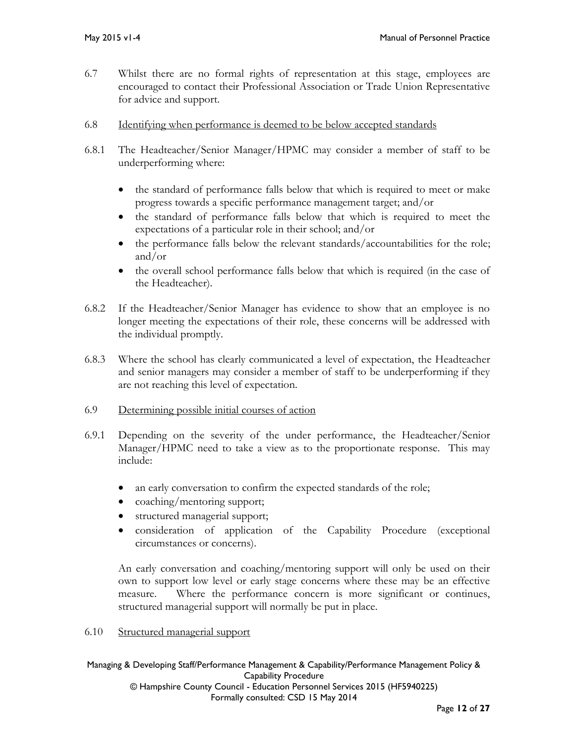- 6.7 Whilst there are no formal rights of representation at this stage, employees are encouraged to contact their Professional Association or Trade Union Representative for advice and support.
- 6.8 Identifying when performance is deemed to be below accepted standards
- 6.8.1 The Headteacher/Senior Manager/HPMC may consider a member of staff to be underperforming where:
	- the standard of performance falls below that which is required to meet or make progress towards a specific performance management target; and/or
	- the standard of performance falls below that which is required to meet the expectations of a particular role in their school; and/or
	- the performance falls below the relevant standards/accountabilities for the role; and/or
	- the overall school performance falls below that which is required (in the case of the Headteacher).
- 6.8.2 If the Headteacher/Senior Manager has evidence to show that an employee is no longer meeting the expectations of their role, these concerns will be addressed with the individual promptly.
- 6.8.3 Where the school has clearly communicated a level of expectation, the Headteacher and senior managers may consider a member of staff to be underperforming if they are not reaching this level of expectation.
- 6.9 Determining possible initial courses of action
- 6.9.1 Depending on the severity of the under performance, the Headteacher/Senior Manager/HPMC need to take a view as to the proportionate response. This may include:
	- an early conversation to confirm the expected standards of the role;
	- coaching/mentoring support;
	- structured managerial support;
	- consideration of application of the Capability Procedure (exceptional circumstances or concerns).

An early conversation and coaching/mentoring support will only be used on their own to support low level or early stage concerns where these may be an effective measure. Where the performance concern is more significant or continues, structured managerial support will normally be put in place.

6.10 Structured managerial support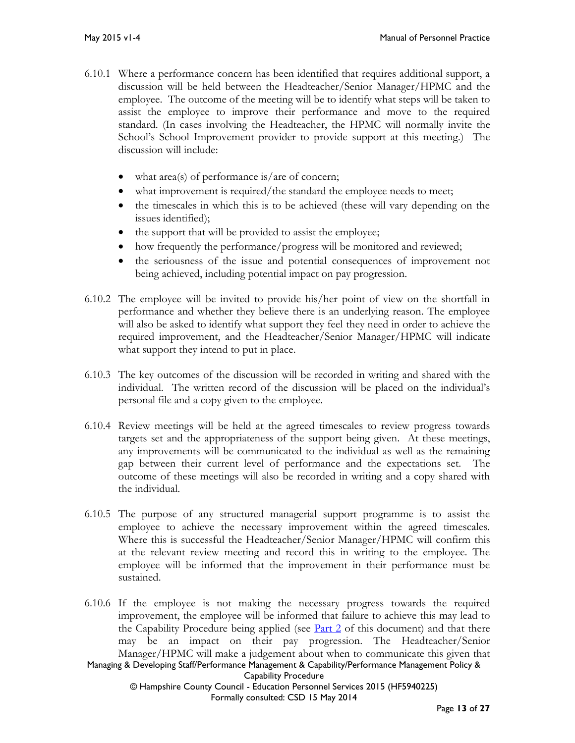- 6.10.1 Where a performance concern has been identified that requires additional support, a discussion will be held between the Headteacher/Senior Manager/HPMC and the employee. The outcome of the meeting will be to identify what steps will be taken to assist the employee to improve their performance and move to the required standard. (In cases involving the Headteacher, the HPMC will normally invite the School's School Improvement provider to provide support at this meeting.) The discussion will include:
	- what area(s) of performance is/are of concern;
	- what improvement is required/the standard the employee needs to meet;
	- the timescales in which this is to be achieved (these will vary depending on the issues identified);
	- the support that will be provided to assist the employee;
	- how frequently the performance/progress will be monitored and reviewed;
	- the seriousness of the issue and potential consequences of improvement not being achieved, including potential impact on pay progression.
- 6.10.2 The employee will be invited to provide his/her point of view on the shortfall in performance and whether they believe there is an underlying reason. The employee will also be asked to identify what support they feel they need in order to achieve the required improvement, and the Headteacher/Senior Manager/HPMC will indicate what support they intend to put in place.
- 6.10.3 The key outcomes of the discussion will be recorded in writing and shared with the individual. The written record of the discussion will be placed on the individual's personal file and a copy given to the employee.
- 6.10.4 Review meetings will be held at the agreed timescales to review progress towards targets set and the appropriateness of the support being given. At these meetings, any improvements will be communicated to the individual as well as the remaining gap between their current level of performance and the expectations set. The outcome of these meetings will also be recorded in writing and a copy shared with the individual.
- 6.10.5 The purpose of any structured managerial support programme is to assist the employee to achieve the necessary improvement within the agreed timescales. Where this is successful the Headteacher/Senior Manager/HPMC will confirm this at the relevant review meeting and record this in writing to the employee. The employee will be informed that the improvement in their performance must be sustained.
- Managing & Developing Staff/Performance Management & Capability/Performance Management Policy & Capability Procedure © Hampshire County Council - Education Personnel Services 2015 (HF5940225) Formally consulted: CSD 15 May 2014 6.10.6 If the employee is not making the necessary progress towards the required improvement, the employee will be informed that failure to achieve this may lead to the Capability Procedure being applied (see  $Part 2$  of this document) and that there may be an impact on their pay progression. The Headteacher/Senior Manager/HPMC will make a judgement about when to communicate this given that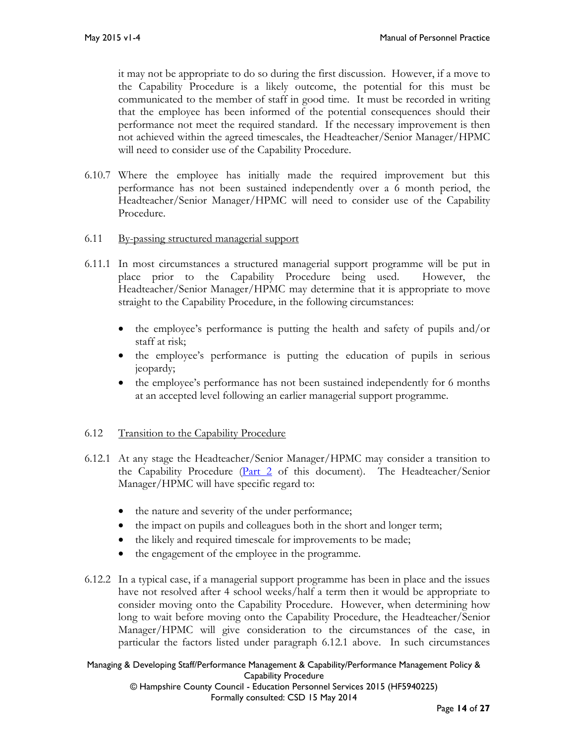it may not be appropriate to do so during the first discussion. However, if a move to the Capability Procedure is a likely outcome, the potential for this must be communicated to the member of staff in good time. It must be recorded in writing that the employee has been informed of the potential consequences should their performance not meet the required standard. If the necessary improvement is then not achieved within the agreed timescales, the Headteacher/Senior Manager/HPMC will need to consider use of the Capability Procedure.

- 6.10.7 Where the employee has initially made the required improvement but this performance has not been sustained independently over a 6 month period, the Headteacher/Senior Manager/HPMC will need to consider use of the Capability Procedure.
- 6.11 By-passing structured managerial support
- 6.11.1 In most circumstances a structured managerial support programme will be put in place prior to the Capability Procedure being used. However, the Headteacher/Senior Manager/HPMC may determine that it is appropriate to move straight to the Capability Procedure, in the following circumstances:
	- the employee's performance is putting the health and safety of pupils and/or staff at risk;
	- the employee's performance is putting the education of pupils in serious jeopardy;
	- the employee's performance has not been sustained independently for 6 months at an accepted level following an earlier managerial support programme.

## 6.12 Transition to the Capability Procedure

- 6.12.1 At any stage the Headteacher/Senior Manager/HPMC may consider a transition to the Capability Procedure [\(Part 2](#page-14-0) of this document). The Headteacher/Senior Manager/HPMC will have specific regard to:
	- the nature and severity of the under performance;
	- the impact on pupils and colleagues both in the short and longer term;
	- the likely and required timescale for improvements to be made;
	- the engagement of the employee in the programme.
- 6.12.2 In a typical case, if a managerial support programme has been in place and the issues have not resolved after 4 school weeks/half a term then it would be appropriate to consider moving onto the Capability Procedure. However, when determining how long to wait before moving onto the Capability Procedure, the Headteacher/Senior Manager/HPMC will give consideration to the circumstances of the case, in particular the factors listed under paragraph 6.12.1 above. In such circumstances

### Managing & Developing Staff/Performance Management & Capability/Performance Management Policy & Capability Procedure

© Hampshire County Council - Education Personnel Services 2015 (HF5940225) Formally consulted: CSD 15 May 2014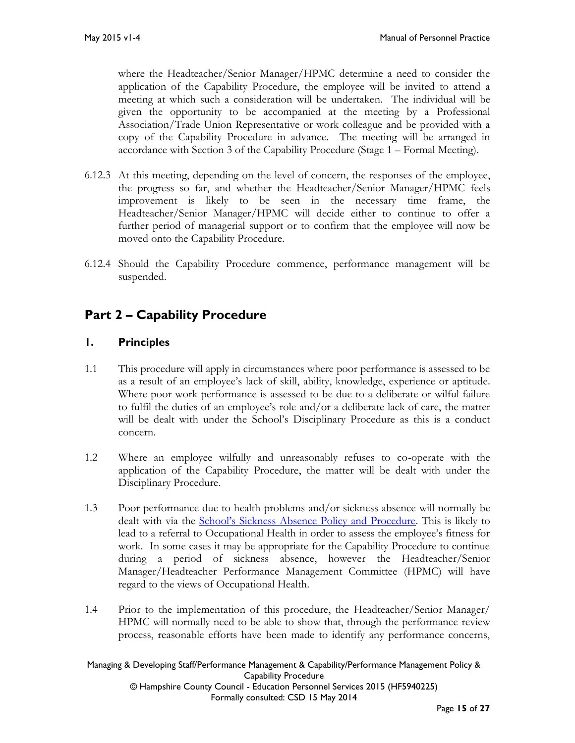where the Headteacher/Senior Manager/HPMC determine a need to consider the application of the Capability Procedure, the employee will be invited to attend a meeting at which such a consideration will be undertaken. The individual will be given the opportunity to be accompanied at the meeting by a Professional Association/Trade Union Representative or work colleague and be provided with a copy of the Capability Procedure in advance. The meeting will be arranged in accordance with Section 3 of the Capability Procedure (Stage 1 – Formal Meeting).

- 6.12.3 At this meeting, depending on the level of concern, the responses of the employee, the progress so far, and whether the Headteacher/Senior Manager/HPMC feels improvement is likely to be seen in the necessary time frame, the Headteacher/Senior Manager/HPMC will decide either to continue to offer a further period of managerial support or to confirm that the employee will now be moved onto the Capability Procedure.
- 6.12.4 Should the Capability Procedure commence, performance management will be suspended.

# <span id="page-14-0"></span>**Part 2 – Capability Procedure**

# <span id="page-14-1"></span>**1. Principles**

- 1.1 This procedure will apply in circumstances where poor performance is assessed to be as a result of an employee's lack of skill, ability, knowledge, experience or aptitude. Where poor work performance is assessed to be due to a deliberate or wilful failure to fulfil the duties of an employee's role and/or a deliberate lack of care, the matter will be dealt with under the School's Disciplinary Procedure as this is a conduct concern.
- 1.2 Where an employee wilfully and unreasonably refuses to co-operate with the application of the Capability Procedure, the matter will be dealt with under the Disciplinary Procedure.
- 1.3 Poor performance due to health problems and/or sickness absence will normally be dealt with via the [School's Sickness Absence Policy and Procedure](http://www3.hants.gov.uk/absence-policy-schools_hf1861451_.doc). This is likely to lead to a referral to Occupational Health in order to assess the employee's fitness for work. In some cases it may be appropriate for the Capability Procedure to continue during a period of sickness absence, however the Headteacher/Senior Manager/Headteacher Performance Management Committee (HPMC) will have regard to the views of Occupational Health.
- 1.4 Prior to the implementation of this procedure, the Headteacher/Senior Manager/ HPMC will normally need to be able to show that, through the performance review process, reasonable efforts have been made to identify any performance concerns,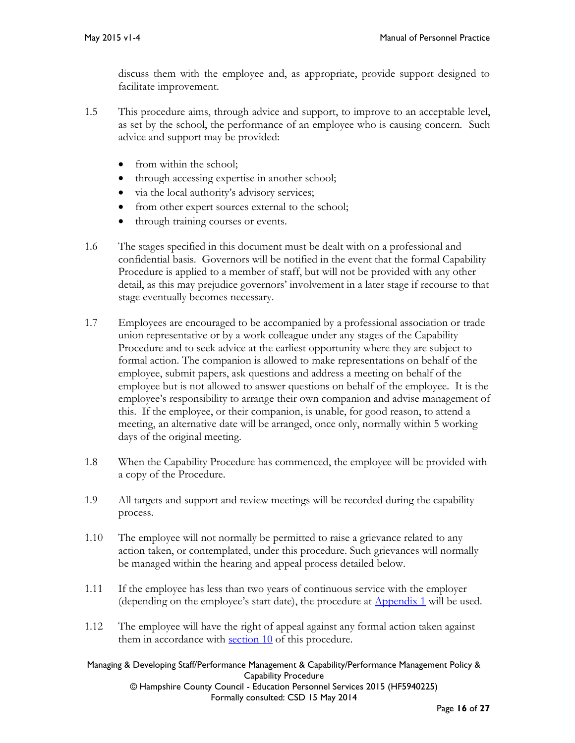discuss them with the employee and, as appropriate, provide support designed to facilitate improvement.

- 1.5 This procedure aims, through advice and support, to improve to an acceptable level, as set by the school, the performance of an employee who is causing concern. Such advice and support may be provided:
	- from within the school:
	- through accessing expertise in another school;
	- via the local authority's advisory services;
	- from other expert sources external to the school;
	- through training courses or events.
- 1.6 The stages specified in this document must be dealt with on a professional and confidential basis. Governors will be notified in the event that the formal Capability Procedure is applied to a member of staff, but will not be provided with any other detail, as this may prejudice governors' involvement in a later stage if recourse to that stage eventually becomes necessary.
- 1.7 Employees are encouraged to be accompanied by a professional association or trade union representative or by a work colleague under any stages of the Capability Procedure and to seek advice at the earliest opportunity where they are subject to formal action. The companion is allowed to make representations on behalf of the employee, submit papers, ask questions and address a meeting on behalf of the employee but is not allowed to answer questions on behalf of the employee. It is the employee's responsibility to arrange their own companion and advise management of this. If the employee, or their companion, is unable, for good reason, to attend a meeting, an alternative date will be arranged, once only, normally within 5 working days of the original meeting.
- 1.8 When the Capability Procedure has commenced, the employee will be provided with a copy of the Procedure.
- 1.9 All targets and support and review meetings will be recorded during the capability process.
- 1.10 The employee will not normally be permitted to raise a grievance related to any action taken, or contemplated, under this procedure. Such grievances will normally be managed within the hearing and appeal process detailed below*.*
- 1.11 If the employee has less than two years of continuous service with the employer (depending on the employee's start date), the procedure at [Appendix 1](#page-25-0) will be used.
- 1.12 The employee will have the right of appeal against any formal action taken against them in accordance with [section 10](#page-22-4) of this procedure.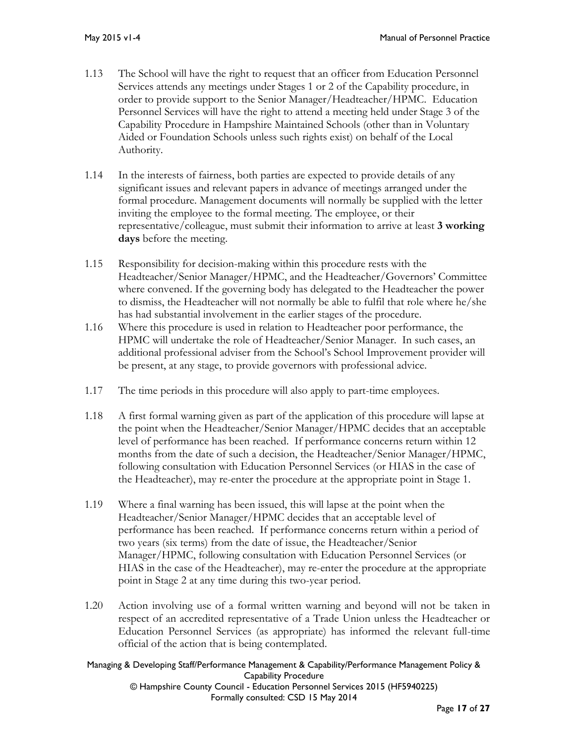- 1.13 The School will have the right to request that an officer from Education Personnel Services attends any meetings under Stages 1 or 2 of the Capability procedure, in order to provide support to the Senior Manager/Headteacher/HPMC. Education Personnel Services will have the right to attend a meeting held under Stage 3 of the Capability Procedure in Hampshire Maintained Schools (other than in Voluntary Aided or Foundation Schools unless such rights exist) on behalf of the Local Authority.
- 1.14 In the interests of fairness, both parties are expected to provide details of any significant issues and relevant papers in advance of meetings arranged under the formal procedure. Management documents will normally be supplied with the letter inviting the employee to the formal meeting. The employee, or their representative/colleague, must submit their information to arrive at least **3 working days** before the meeting.
- 1.15 Responsibility for decision-making within this procedure rests with the Headteacher/Senior Manager/HPMC, and the Headteacher/Governors' Committee where convened. If the governing body has delegated to the Headteacher the power to dismiss, the Headteacher will not normally be able to fulfil that role where he/she has had substantial involvement in the earlier stages of the procedure.
- 1.16 Where this procedure is used in relation to Headteacher poor performance, the HPMC will undertake the role of Headteacher/Senior Manager. In such cases, an additional professional adviser from the School's School Improvement provider will be present, at any stage, to provide governors with professional advice.
- 1.17 The time periods in this procedure will also apply to part-time employees.
- 1.18 A first formal warning given as part of the application of this procedure will lapse at the point when the Headteacher/Senior Manager/HPMC decides that an acceptable level of performance has been reached. If performance concerns return within 12 months from the date of such a decision, the Headteacher/Senior Manager/HPMC, following consultation with Education Personnel Services (or HIAS in the case of the Headteacher), may re-enter the procedure at the appropriate point in Stage 1.
- 1.19 Where a final warning has been issued, this will lapse at the point when the Headteacher/Senior Manager/HPMC decides that an acceptable level of performance has been reached. If performance concerns return within a period of two years (six terms) from the date of issue, the Headteacher/Senior Manager/HPMC, following consultation with Education Personnel Services (or HIAS in the case of the Headteacher), may re-enter the procedure at the appropriate point in Stage 2 at any time during this two-year period.
- 1.20 Action involving use of a formal written warning and beyond will not be taken in respect of an accredited representative of a Trade Union unless the Headteacher or Education Personnel Services (as appropriate) has informed the relevant full-time official of the action that is being contemplated.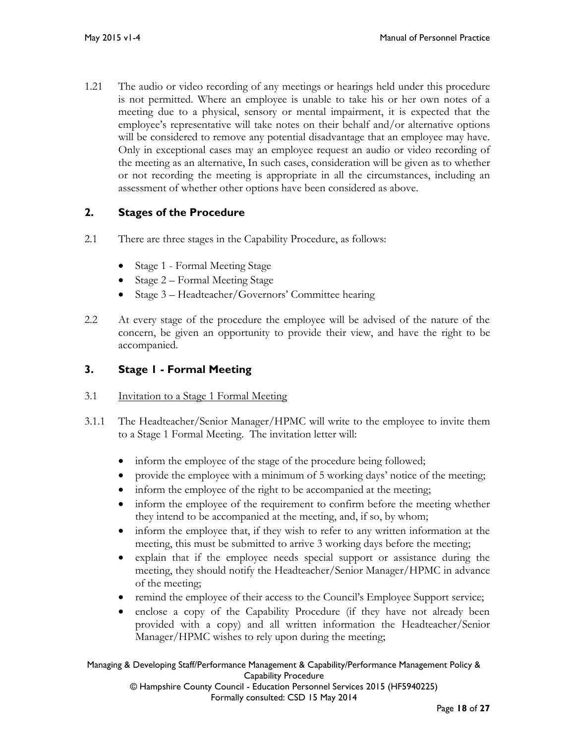1.21 The audio or video recording of any meetings or hearings held under this procedure is not permitted. Where an employee is unable to take his or her own notes of a meeting due to a physical, sensory or mental impairment, it is expected that the employee's representative will take notes on their behalf and/or alternative options will be considered to remove any potential disadvantage that an employee may have. Only in exceptional cases may an employee request an audio or video recording of the meeting as an alternative, In such cases, consideration will be given as to whether or not recording the meeting is appropriate in all the circumstances, including an assessment of whether other options have been considered as above.

# <span id="page-17-0"></span>**2. Stages of the Procedure**

- 2.1 There are three stages in the Capability Procedure, as follows:
	- Stage 1 Formal Meeting Stage
	- Stage 2 Formal Meeting Stage
	- Stage 3 Headteacher/Governors' Committee hearing
- 2.2 At every stage of the procedure the employee will be advised of the nature of the concern, be given an opportunity to provide their view, and have the right to be accompanied.

# <span id="page-17-1"></span>**3. Stage 1 - Formal Meeting**

- 3.1 Invitation to a Stage 1 Formal Meeting
- 3.1.1 The Headteacher/Senior Manager/HPMC will write to the employee to invite them to a Stage 1 Formal Meeting. The invitation letter will:
	- inform the employee of the stage of the procedure being followed;
	- provide the employee with a minimum of 5 working days' notice of the meeting;
	- inform the employee of the right to be accompanied at the meeting;
	- inform the employee of the requirement to confirm before the meeting whether they intend to be accompanied at the meeting, and, if so, by whom;
	- inform the employee that, if they wish to refer to any written information at the meeting, this must be submitted to arrive 3 working days before the meeting;
	- explain that if the employee needs special support or assistance during the meeting, they should notify the Headteacher/Senior Manager/HPMC in advance of the meeting;
	- remind the employee of their access to the Council's Employee Support service;
	- enclose a copy of the Capability Procedure (if they have not already been provided with a copy) and all written information the Headteacher/Senior Manager/HPMC wishes to rely upon during the meeting;

#### Managing & Developing Staff/Performance Management & Capability/Performance Management Policy & Capability Procedure © Hampshire County Council - Education Personnel Services 2015 (HF5940225)

Formally consulted: CSD 15 May 2014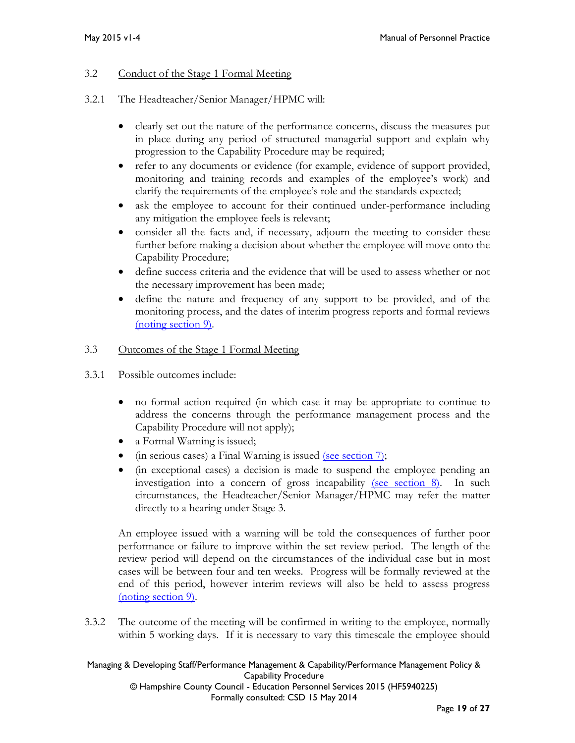### 3.2 Conduct of the Stage 1 Formal Meeting

- 3.2.1 The Headteacher/Senior Manager/HPMC will:
	- clearly set out the nature of the performance concerns, discuss the measures put in place during any period of structured managerial support and explain why progression to the Capability Procedure may be required;
	- refer to any documents or evidence (for example, evidence of support provided, monitoring and training records and examples of the employee's work) and clarify the requirements of the employee's role and the standards expected;
	- ask the employee to account for their continued under-performance including any mitigation the employee feels is relevant;
	- consider all the facts and, if necessary, adjourn the meeting to consider these further before making a decision about whether the employee will move onto the Capability Procedure;
	- define success criteria and the evidence that will be used to assess whether or not the necessary improvement has been made;
	- define the nature and frequency of any support to be provided, and of the monitoring process, and the dates of interim progress reports and formal reviews [\(noting section 9\).](#page-22-3)

### 3.3 Outcomes of the Stage 1 Formal Meeting

- 3.3.1 Possible outcomes include:
	- no formal action required (in which case it may be appropriate to continue to address the concerns through the performance management process and the Capability Procedure will not apply);
	- a Formal Warning is issued;
	- (in serious cases) a Final Warning is issued [\(see section 7\);](#page-22-1)
	- (in exceptional cases) a decision is made to suspend the employee pending an investigation into a concern of gross incapability [\(see section 8\).](#page-22-2) In such circumstances, the Headteacher/Senior Manager/HPMC may refer the matter directly to a hearing under Stage 3.

An employee issued with a warning will be told the consequences of further poor performance or failure to improve within the set review period. The length of the review period will depend on the circumstances of the individual case but in most cases will be between four and ten weeks. Progress will be formally reviewed at the end of this period, however interim reviews will also be held to assess progress [\(noting section 9\).](#page-22-3)

3.3.2 The outcome of the meeting will be confirmed in writing to the employee, normally within 5 working days. If it is necessary to vary this timescale the employee should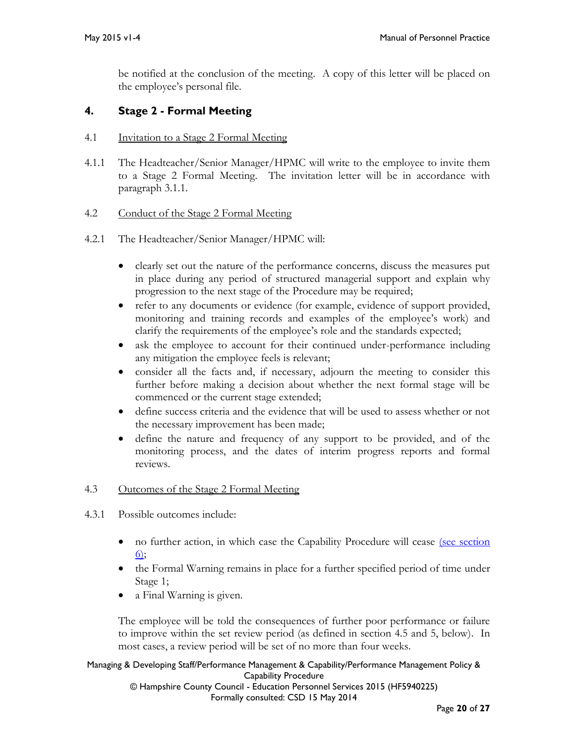be notified at the conclusion of the meeting. A copy of this letter will be placed on the employee's personal file.

# <span id="page-19-0"></span>**4. Stage 2 - Formal Meeting**

- 4.1 Invitation to a Stage 2 Formal Meeting
- 4.1.1 The Headteacher/Senior Manager/HPMC will write to the employee to invite them to a Stage 2 Formal Meeting. The invitation letter will be in accordance with paragraph 3.1.1.

## 4.2 Conduct of the Stage 2 Formal Meeting

- 4.2.1 The Headteacher/Senior Manager/HPMC will:
	- clearly set out the nature of the performance concerns, discuss the measures put in place during any period of structured managerial support and explain why progression to the next stage of the Procedure may be required;
	- refer to any documents or evidence (for example, evidence of support provided, monitoring and training records and examples of the employee's work) and clarify the requirements of the employee's role and the standards expected;
	- ask the employee to account for their continued under-performance including any mitigation the employee feels is relevant;
	- consider all the facts and, if necessary, adjourn the meeting to consider this further before making a decision about whether the next formal stage will be commenced or the current stage extended;
	- define success criteria and the evidence that will be used to assess whether or not the necessary improvement has been made;
	- define the nature and frequency of any support to be provided, and of the monitoring process, and the dates of interim progress reports and formal reviews.

## 4.3 Outcomes of the Stage 2 Formal Meeting

- 4.3.1 Possible outcomes include:
	- no further action, in which case the Capability Procedure will cease (see section [6\);](#page-22-0)
	- the Formal Warning remains in place for a further specified period of time under Stage 1;
	- a Final Warning is given.

The employee will be told the consequences of further poor performance or failure to improve within the set review period (as defined in section 4.5 and 5, below). In most cases, a review period will be set of no more than four weeks.

# Managing & Developing Staff/Performance Management & Capability/Performance Management Policy & Capability Procedure

© Hampshire County Council - Education Personnel Services 2015 (HF5940225) Formally consulted: CSD 15 May 2014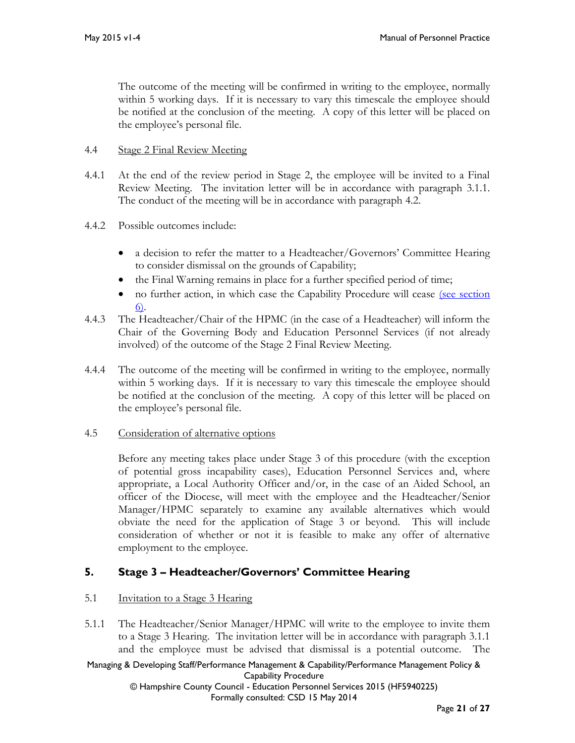The outcome of the meeting will be confirmed in writing to the employee, normally within 5 working days. If it is necessary to vary this timescale the employee should be notified at the conclusion of the meeting. A copy of this letter will be placed on the employee's personal file.

## 4.4 Stage 2 Final Review Meeting

- 4.4.1 At the end of the review period in Stage 2, the employee will be invited to a Final Review Meeting. The invitation letter will be in accordance with paragraph 3.1.1. The conduct of the meeting will be in accordance with paragraph 4.2.
- 4.4.2 Possible outcomes include:
	- a decision to refer the matter to a Headteacher/Governors' Committee Hearing to consider dismissal on the grounds of Capability;
	- the Final Warning remains in place for a further specified period of time;
	- no further action, in which case the Capability Procedure will cease (see section [6\).](#page-22-0)
- 4.4.3 The Headteacher/Chair of the HPMC (in the case of a Headteacher) will inform the Chair of the Governing Body and Education Personnel Services (if not already involved) of the outcome of the Stage 2 Final Review Meeting.
- 4.4.4 The outcome of the meeting will be confirmed in writing to the employee, normally within 5 working days. If it is necessary to vary this timescale the employee should be notified at the conclusion of the meeting. A copy of this letter will be placed on the employee's personal file.
- 4.5 Consideration of alternative options

Before any meeting takes place under Stage 3 of this procedure (with the exception of potential gross incapability cases), Education Personnel Services and, where appropriate, a Local Authority Officer and/or, in the case of an Aided School, an officer of the Diocese, will meet with the employee and the Headteacher/Senior Manager/HPMC separately to examine any available alternatives which would obviate the need for the application of Stage 3 or beyond. This will include consideration of whether or not it is feasible to make any offer of alternative employment to the employee.

# <span id="page-20-0"></span>**5. Stage 3 – Headteacher/Governors' Committee Hearing**

## 5.1 Invitation to a Stage 3 Hearing

5.1.1 The Headteacher/Senior Manager/HPMC will write to the employee to invite them to a Stage 3 Hearing. The invitation letter will be in accordance with paragraph 3.1.1 and the employee must be advised that dismissal is a potential outcome. The

Managing & Developing Staff/Performance Management & Capability/Performance Management Policy & Capability Procedure © Hampshire County Council - Education Personnel Services 2015 (HF5940225)

Formally consulted: CSD 15 May 2014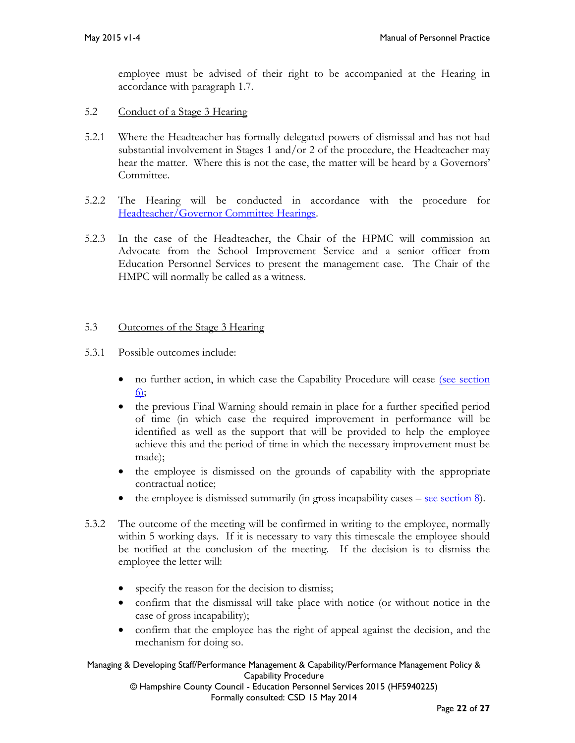employee must be advised of their right to be accompanied at the Hearing in accordance with paragraph 1.7.

- 5.2 Conduct of a Stage 3 Hearing
- 5.2.1 Where the Headteacher has formally delegated powers of dismissal and has not had substantial involvement in Stages 1 and/or 2 of the procedure, the Headteacher may hear the matter. Where this is not the case, the matter will be heard by a Governors' Committee.
- 5.2.2 The Hearing will be conducted in accordance with the procedure for [Headteacher/Governor Committee Hearings.](http://www3.hants.gov.uk/education/mopp/manage-staff/eps-hearings.htm)
- 5.2.3 In the case of the Headteacher, the Chair of the HPMC will commission an Advocate from the School Improvement Service and a senior officer from Education Personnel Services to present the management case. The Chair of the HMPC will normally be called as a witness.

## 5.3 Outcomes of the Stage 3 Hearing

- 5.3.1 Possible outcomes include:
	- no further action, in which case the Capability Procedure will cease (see section  $6$
	- the previous Final Warning should remain in place for a further specified period of time (in which case the required improvement in performance will be identified as well as the support that will be provided to help the employee achieve this and the period of time in which the necessary improvement must be made);
	- the employee is dismissed on the grounds of capability with the appropriate contractual notice;
	- $\bullet$  the employee is dismissed summarily (in gross incapability cases <u>see section 8</u>).
- 5.3.2 The outcome of the meeting will be confirmed in writing to the employee, normally within 5 working days. If it is necessary to vary this timescale the employee should be notified at the conclusion of the meeting. If the decision is to dismiss the employee the letter will:
	- specify the reason for the decision to dismiss;
	- confirm that the dismissal will take place with notice (or without notice in the case of gross incapability);
	- confirm that the employee has the right of appeal against the decision, and the mechanism for doing so.

#### Managing & Developing Staff/Performance Management & Capability/Performance Management Policy & Capability Procedure

© Hampshire County Council - Education Personnel Services 2015 (HF5940225) Formally consulted: CSD 15 May 2014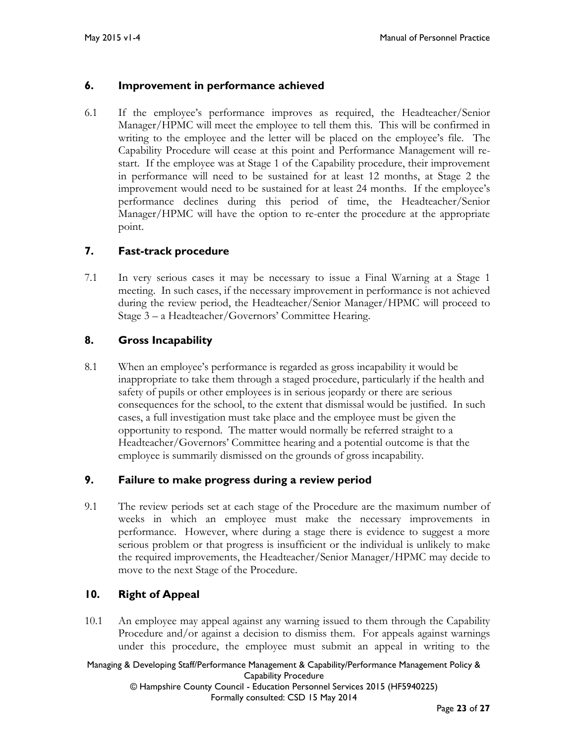## <span id="page-22-0"></span>**6. Improvement in performance achieved**

6.1 If the employee's performance improves as required, the Headteacher/Senior Manager/HPMC will meet the employee to tell them this. This will be confirmed in writing to the employee and the letter will be placed on the employee's file. The Capability Procedure will cease at this point and Performance Management will restart. If the employee was at Stage 1 of the Capability procedure, their improvement in performance will need to be sustained for at least 12 months, at Stage 2 the improvement would need to be sustained for at least 24 months. If the employee's performance declines during this period of time, the Headteacher/Senior Manager/HPMC will have the option to re-enter the procedure at the appropriate point.

## <span id="page-22-1"></span>**7. Fast-track procedure**

7.1 In very serious cases it may be necessary to issue a Final Warning at a Stage 1 meeting. In such cases, if the necessary improvement in performance is not achieved during the review period, the Headteacher/Senior Manager/HPMC will proceed to Stage 3 – a Headteacher/Governors' Committee Hearing.

# <span id="page-22-2"></span>**8. Gross Incapability**

8.1 When an employee's performance is regarded as gross incapability it would be inappropriate to take them through a staged procedure, particularly if the health and safety of pupils or other employees is in serious jeopardy or there are serious consequences for the school, to the extent that dismissal would be justified. In such cases, a full investigation must take place and the employee must be given the opportunity to respond. The matter would normally be referred straight to a Headteacher/Governors' Committee hearing and a potential outcome is that the employee is summarily dismissed on the grounds of gross incapability.

## <span id="page-22-3"></span>**9. Failure to make progress during a review period**

9.1 The review periods set at each stage of the Procedure are the maximum number of weeks in which an employee must make the necessary improvements in performance. However, where during a stage there is evidence to suggest a more serious problem or that progress is insufficient or the individual is unlikely to make the required improvements, the Headteacher/Senior Manager/HPMC may decide to move to the next Stage of the Procedure.

## <span id="page-22-4"></span>**10. Right of Appeal**

10.1 An employee may appeal against any warning issued to them through the Capability Procedure and/or against a decision to dismiss them. For appeals against warnings under this procedure, the employee must submit an appeal in writing to the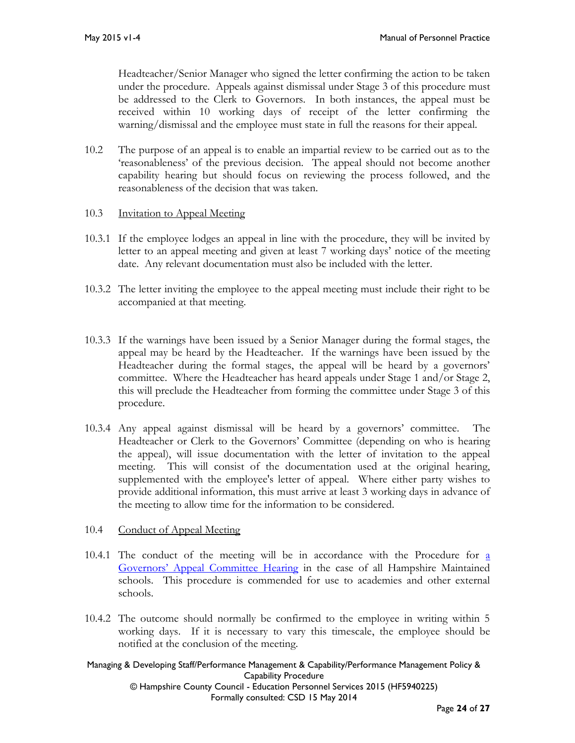Headteacher/Senior Manager who signed the letter confirming the action to be taken under the procedure. Appeals against dismissal under Stage 3 of this procedure must be addressed to the Clerk to Governors. In both instances, the appeal must be received within 10 working days of receipt of the letter confirming the warning/dismissal and the employee must state in full the reasons for their appeal.

10.2 The purpose of an appeal is to enable an impartial review to be carried out as to the 'reasonableness' of the previous decision. The appeal should not become another capability hearing but should focus on reviewing the process followed, and the reasonableness of the decision that was taken.

## 10.3 Invitation to Appeal Meeting

- 10.3.1 If the employee lodges an appeal in line with the procedure, they will be invited by letter to an appeal meeting and given at least 7 working days' notice of the meeting date. Any relevant documentation must also be included with the letter.
- 10.3.2 The letter inviting the employee to the appeal meeting must include their right to be accompanied at that meeting.
- 10.3.3 If the warnings have been issued by a Senior Manager during the formal stages, the appeal may be heard by the Headteacher. If the warnings have been issued by the Headteacher during the formal stages, the appeal will be heard by a governors' committee. Where the Headteacher has heard appeals under Stage 1 and/or Stage 2, this will preclude the Headteacher from forming the committee under Stage 3 of this procedure.
- 10.3.4 Any appeal against dismissal will be heard by a governors' committee. The Headteacher or Clerk to the Governors' Committee (depending on who is hearing the appeal), will issue documentation with the letter of invitation to the appeal meeting. This will consist of the documentation used at the original hearing, supplemented with the employee's letter of appeal. Where either party wishes to provide additional information, this must arrive at least 3 working days in advance of the meeting to allow time for the information to be considered.

## 10.4 Conduct of Appeal Meeting

- 10.4.1 The conduct of the meeting will be in accordance with the Procedure for [a](http://www3.hants.gov.uk/education/mopp/manage-staff/eps-hearings.htm) [Governors' Appeal Committee Hearing](http://www3.hants.gov.uk/education/mopp/manage-staff/eps-hearings.htm) in the case of all Hampshire Maintained schools. This procedure is commended for use to academies and other external schools.
- 10.4.2 The outcome should normally be confirmed to the employee in writing within 5 working days. If it is necessary to vary this timescale, the employee should be notified at the conclusion of the meeting.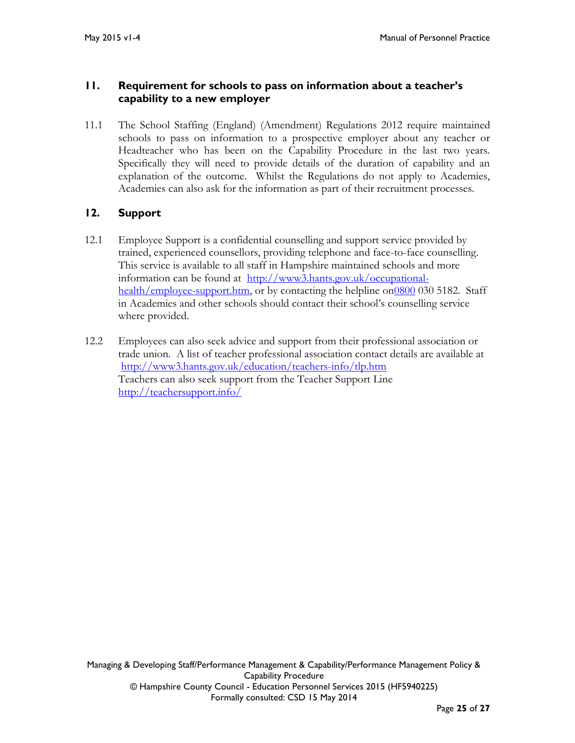# <span id="page-24-0"></span>**11. Requirement for schools to pass on information about a teacher's capability to a new employer**

11.1 The School Staffing (England) (Amendment) Regulations 2012 require maintained schools to pass on information to a prospective employer about any teacher or Headteacher who has been on the Capability Procedure in the last two years. Specifically they will need to provide details of the duration of capability and an explanation of the outcome. Whilst the Regulations do not apply to Academies, Academies can also ask for the information as part of their recruitment processes.

# <span id="page-24-1"></span>**12. Support**

- 12.1 Employee Support is a confidential counselling and support service provided by trained, experienced counsellors, providing telephone and face-to-face counselling. This service is available to all staff in Hampshire maintained schools and more information can be found at [http://www3.hants.gov.uk/occupational](http://www3.hants.gov.uk/occupational-health/employee-support.htm)[health/employee-support.htm,](http://www3.hants.gov.uk/occupational-health/employee-support.htm) or by contacting the helpline o[n0800](mailto:0800) 030 5182. Staff in Academies and other schools should contact their school's counselling service where provided.
- 12.2 Employees can also seek advice and support from their professional association or trade union. A list of teacher professional association contact details are available at [http://www3.hants.gov.uk/education/teachers-info/tlp.htm](http://www3.hants.gov.uk/education/teachers-info/tlp/tlp-contacts.htm) Teachers can also seek support from the Teacher Support Line <http://teachersupport.info/>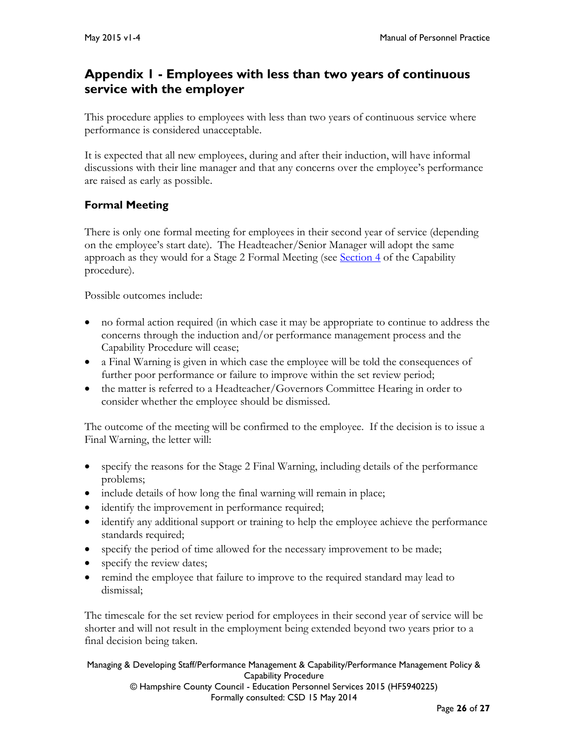# <span id="page-25-0"></span>**Appendix 1 - Employees with less than two years of continuous service with the employer**

This procedure applies to employees with less than two years of continuous service where performance is considered unacceptable.

It is expected that all new employees, during and after their induction, will have informal discussions with their line manager and that any concerns over the employee's performance are raised as early as possible.

# **Formal Meeting**

There is only one formal meeting for employees in their second year of service (depending on the employee's start date). The Headteacher/Senior Manager will adopt the same approach as they would for a Stage 2 Formal Meeting (see [Section 4](#page-19-0) of the Capability procedure).

Possible outcomes include:

- no formal action required (in which case it may be appropriate to continue to address the concerns through the induction and/or performance management process and the Capability Procedure will cease;
- a Final Warning is given in which case the employee will be told the consequences of further poor performance or failure to improve within the set review period;
- the matter is referred to a Headteacher/Governors Committee Hearing in order to consider whether the employee should be dismissed.

The outcome of the meeting will be confirmed to the employee. If the decision is to issue a Final Warning, the letter will:

- specify the reasons for the Stage 2 Final Warning, including details of the performance problems;
- include details of how long the final warning will remain in place;
- identify the improvement in performance required;
- identify any additional support or training to help the employee achieve the performance standards required;
- specify the period of time allowed for the necessary improvement to be made;
- specify the review dates;
- remind the employee that failure to improve to the required standard may lead to dismissal;

The timescale for the set review period for employees in their second year of service will be shorter and will not result in the employment being extended beyond two years prior to a final decision being taken.